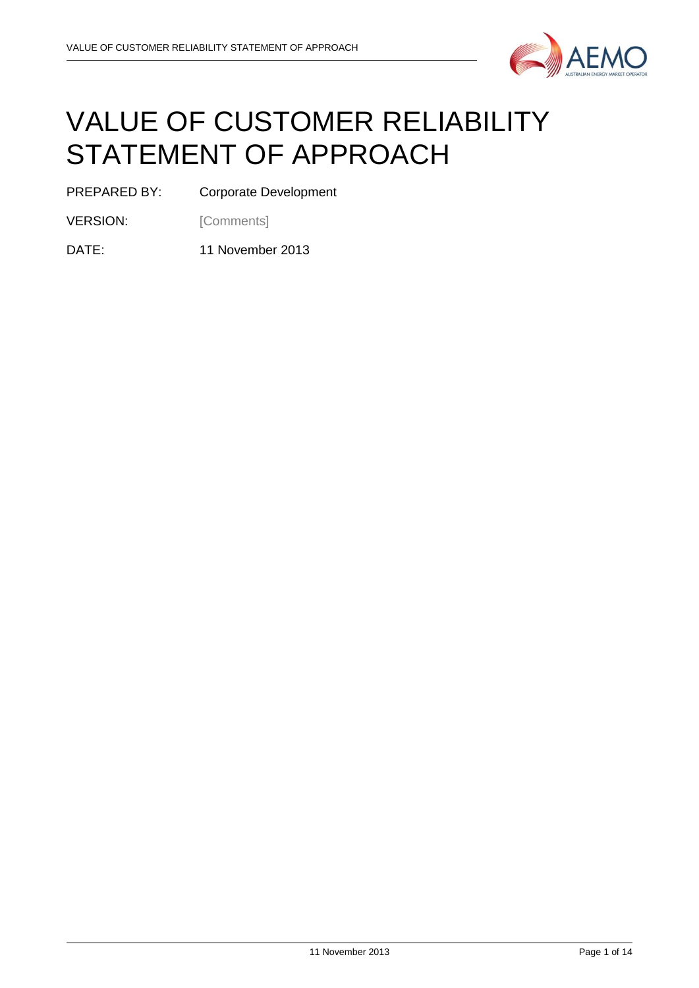

# VALUE OF CUSTOMER RELIABILITY STATEMENT OF APPROACH

PREPARED BY: Corporate Development

VERSION: [Comments]

DATE: 11 November 2013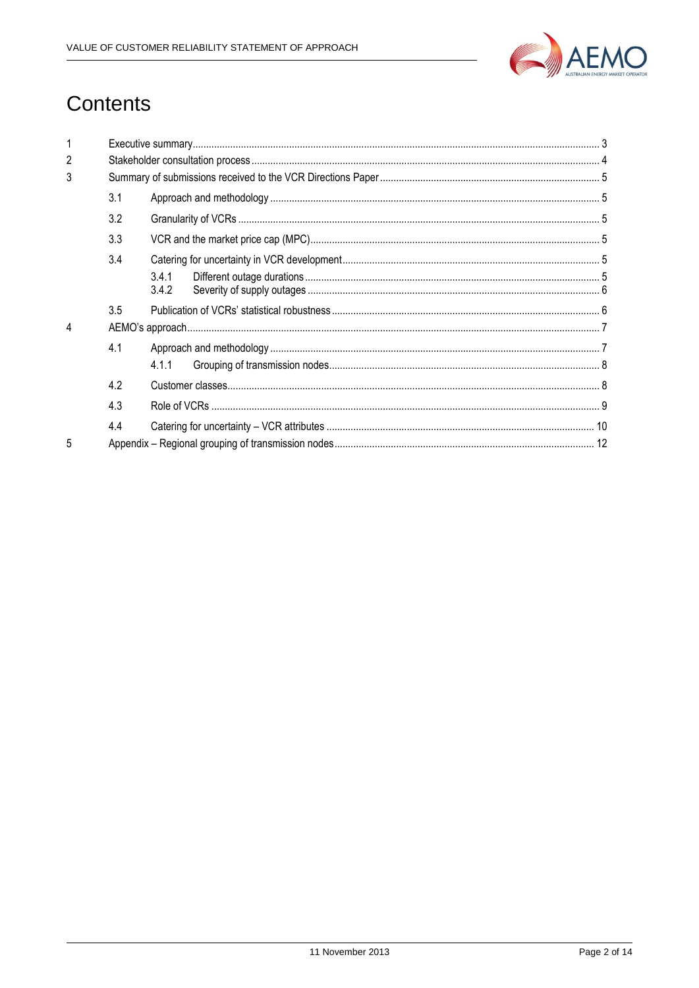

## Contents

| $\mathfrak{p}$ |     |                |  |  |  |
|----------------|-----|----------------|--|--|--|
| 3              |     |                |  |  |  |
|                | 3.1 |                |  |  |  |
|                | 3.2 |                |  |  |  |
|                | 3.3 |                |  |  |  |
|                | 3.4 |                |  |  |  |
|                |     | 3.4.1<br>3.4.2 |  |  |  |
|                | 3.5 |                |  |  |  |
| 4              |     |                |  |  |  |
|                | 4.1 |                |  |  |  |
|                |     | 4.1.1          |  |  |  |
|                | 4.2 |                |  |  |  |
|                | 4.3 |                |  |  |  |
|                | 4.4 |                |  |  |  |
| 5              |     |                |  |  |  |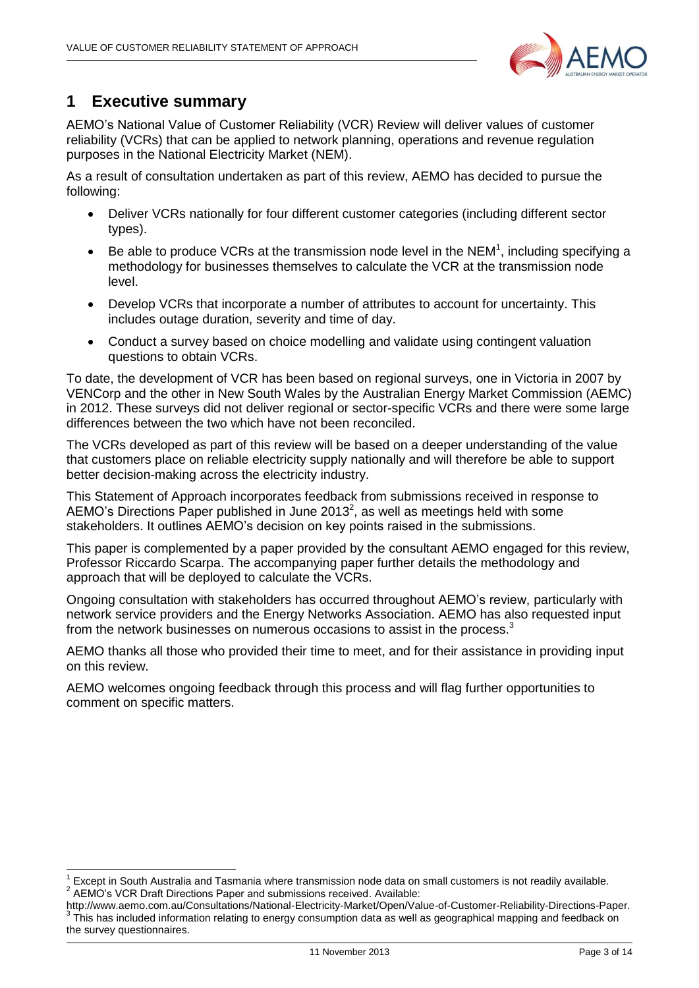

### <span id="page-2-0"></span>**1 Executive summary**

-

AEMO's National Value of Customer Reliability (VCR) Review will deliver values of customer reliability (VCRs) that can be applied to network planning, operations and revenue regulation purposes in the National Electricity Market (NEM).

As a result of consultation undertaken as part of this review, AEMO has decided to pursue the following:

- Deliver VCRs nationally for four different customer categories (including different sector types).
- $\bullet$  Be able to produce VCRs at the transmission node level in the NEM<sup>1</sup>, including specifying a methodology for businesses themselves to calculate the VCR at the transmission node level.
- Develop VCRs that incorporate a number of attributes to account for uncertainty. This includes outage duration, severity and time of day.
- Conduct a survey based on choice modelling and validate using contingent valuation questions to obtain VCRs.

To date, the development of VCR has been based on regional surveys, one in Victoria in 2007 by VENCorp and the other in New South Wales by the Australian Energy Market Commission (AEMC) in 2012. These surveys did not deliver regional or sector-specific VCRs and there were some large differences between the two which have not been reconciled.

The VCRs developed as part of this review will be based on a deeper understanding of the value that customers place on reliable electricity supply nationally and will therefore be able to support better decision-making across the electricity industry.

This Statement of Approach incorporates feedback from submissions received in response to AEMO's Directions Paper published in June 2013<sup>2</sup>, as well as meetings held with some stakeholders. It outlines AEMO's decision on key points raised in the submissions.

This paper is complemented by a paper provided by the consultant AEMO engaged for this review, Professor Riccardo Scarpa. The accompanying paper further details the methodology and approach that will be deployed to calculate the VCRs.

Ongoing consultation with stakeholders has occurred throughout AEMO's review, particularly with network service providers and the Energy Networks Association. AEMO has also requested input from the network businesses on numerous occasions to assist in the process.<sup>3</sup>

AEMO thanks all those who provided their time to meet, and for their assistance in providing input on this review.

AEMO welcomes ongoing feedback through this process and will flag further opportunities to comment on specific matters.

<sup>1</sup> Except in South Australia and Tasmania where transmission node data on small customers is not readily available.  $2$  AEMO's VCR Draft Directions Paper and submissions received. Available:

[http://www.aemo.com.au/Consultations/National-Electricity-Market/Open/Value-of-Customer-Reliability-Directions-Paper.](http://www.aemo.com.au/Consultations/National-Electricity-Market/Open/Value-of-Customer-Reliability-Directions-Paper) 3 This has included information relating to energy consumption data as well as geographical mapping and feedback on the survey questionnaires.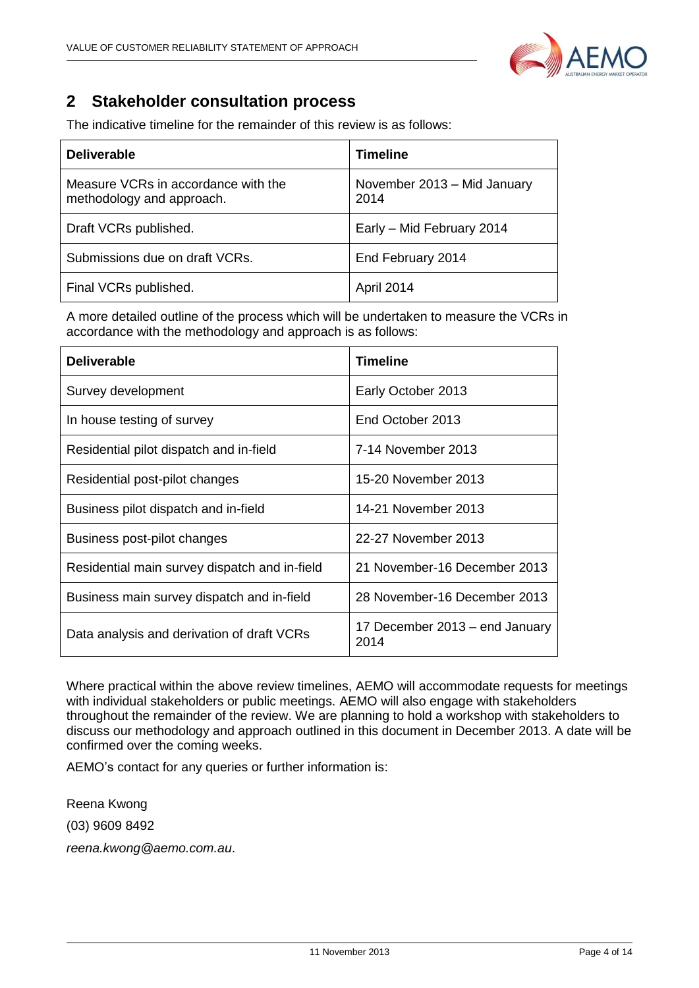

## <span id="page-3-0"></span>**2 Stakeholder consultation process**

| <b>Deliverable</b>                                               | <b>Timeline</b>                     |
|------------------------------------------------------------------|-------------------------------------|
| Measure VCRs in accordance with the<br>methodology and approach. | November 2013 - Mid January<br>2014 |
| Draft VCRs published.                                            | Early - Mid February 2014           |
| Submissions due on draft VCRs.                                   | End February 2014                   |
| Final VCRs published.                                            | April 2014                          |

The indicative timeline for the remainder of this review is as follows:

A more detailed outline of the process which will be undertaken to measure the VCRs in accordance with the methodology and approach is as follows:

| <b>Deliverable</b>                            | <b>Timeline</b>                        |
|-----------------------------------------------|----------------------------------------|
| Survey development                            | Early October 2013                     |
| In house testing of survey                    | End October 2013                       |
| Residential pilot dispatch and in-field       | 7-14 November 2013                     |
| Residential post-pilot changes                | 15-20 November 2013                    |
| Business pilot dispatch and in-field          | 14-21 November 2013                    |
| Business post-pilot changes                   | 22-27 November 2013                    |
| Residential main survey dispatch and in-field | 21 November-16 December 2013           |
| Business main survey dispatch and in-field    | 28 November-16 December 2013           |
| Data analysis and derivation of draft VCRs    | 17 December 2013 - end January<br>2014 |

Where practical within the above review timelines, AEMO will accommodate requests for meetings with individual stakeholders or public meetings. AEMO will also engage with stakeholders throughout the remainder of the review. We are planning to hold a workshop with stakeholders to discuss our methodology and approach outlined in this document in December 2013. A date will be confirmed over the coming weeks.

AEMO's contact for any queries or further information is:

Reena Kwong (03) 9609 8492 *reena.kwong@aemo.com.au*.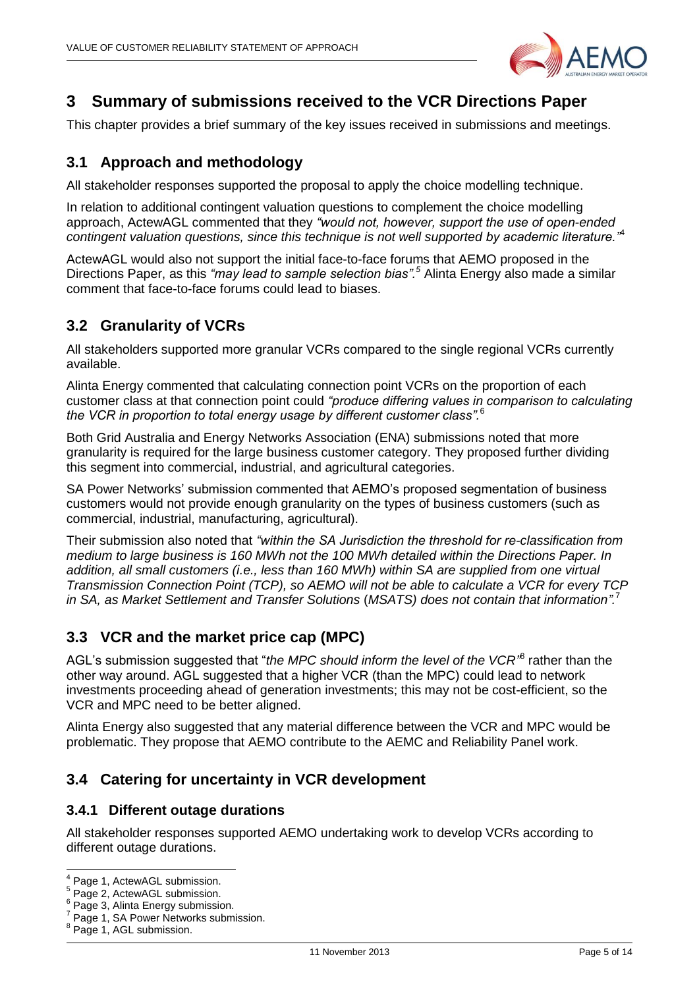

## <span id="page-4-0"></span>**3 Summary of submissions received to the VCR Directions Paper**

This chapter provides a brief summary of the key issues received in submissions and meetings.

#### <span id="page-4-1"></span>**3.1 Approach and methodology**

All stakeholder responses supported the proposal to apply the choice modelling technique.

In relation to additional contingent valuation questions to complement the choice modelling approach, ActewAGL commented that they *"would not, however, support the use of open-ended contingent valuation questions, since this technique is not well supported by academic literature."*<sup>4</sup>

ActewAGL would also not support the initial face-to-face forums that AEMO proposed in the Directions Paper, as this *"may lead to sample selection bias". <sup>5</sup>* Alinta Energy also made a similar comment that face-to-face forums could lead to biases.

#### <span id="page-4-2"></span>**3.2 Granularity of VCRs**

All stakeholders supported more granular VCRs compared to the single regional VCRs currently available.

Alinta Energy commented that calculating connection point VCRs on the proportion of each customer class at that connection point could *"produce differing values in comparison to calculating the VCR in proportion to total energy usage by different customer class".* 6

Both Grid Australia and Energy Networks Association (ENA) submissions noted that more granularity is required for the large business customer category. They proposed further dividing this segment into commercial, industrial, and agricultural categories.

SA Power Networks' submission commented that AEMO's proposed segmentation of business customers would not provide enough granularity on the types of business customers (such as commercial, industrial, manufacturing, agricultural).

Their submission also noted that *"within the SA Jurisdiction the threshold for re-classification from medium to large business is 160 MWh not the 100 MWh detailed within the Directions Paper. In addition, all small customers (i.e., less than 160 MWh) within SA are supplied from one virtual Transmission Connection Point (TCP), so AEMO will not be able to calculate a VCR for every TCP in SA, as Market Settlement and Transfer Solutions* (*MSATS) does not contain that information".* 7

#### <span id="page-4-3"></span>**3.3 VCR and the market price cap (MPC)**

AGL's submission suggested that "the MPC should inform the level of the VCR<sup>,8</sup> rather than the other way around. AGL suggested that a higher VCR (than the MPC) could lead to network investments proceeding ahead of generation investments; this may not be cost-efficient, so the VCR and MPC need to be better aligned.

Alinta Energy also suggested that any material difference between the VCR and MPC would be problematic. They propose that AEMO contribute to the AEMC and Reliability Panel work.

#### <span id="page-4-4"></span>**3.4 Catering for uncertainty in VCR development**

#### <span id="page-4-5"></span>**3.4.1 Different outage durations**

All stakeholder responses supported AEMO undertaking work to develop VCRs according to different outage durations.

 4 Page 1, ActewAGL submission.

<sup>&</sup>lt;sup>5</sup> Page 2, ActewAGL submission.

Page 3, Alinta Energy submission.

<sup>7</sup> Page 1, SA Power Networks submission.

<sup>8</sup> Page 1, AGL submission.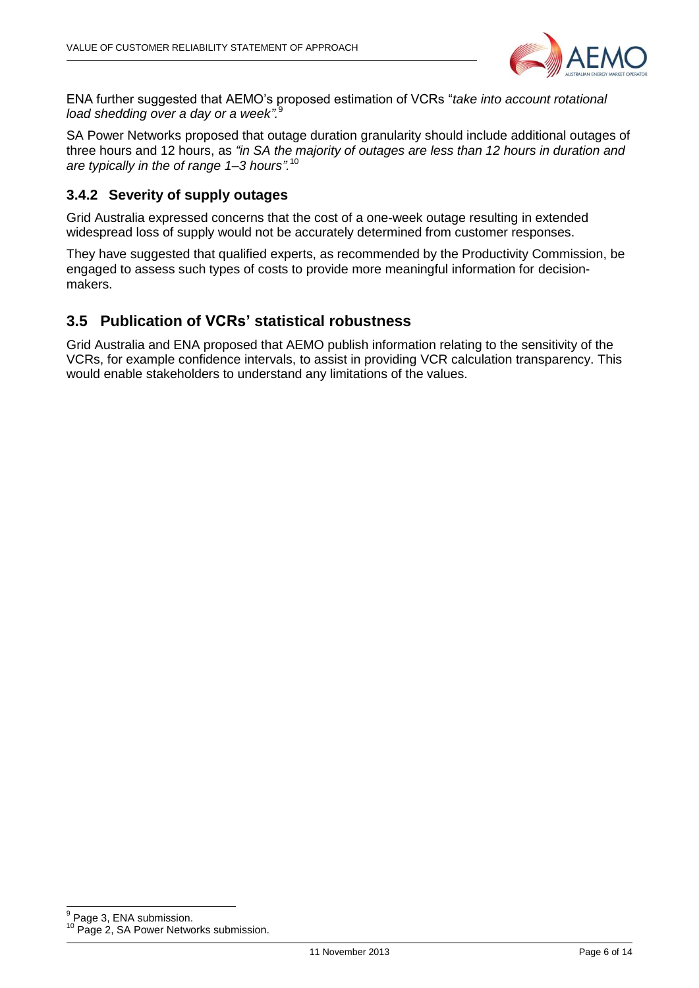

ENA further suggested that AEMO's proposed estimation of VCRs "*take into account rotational load shedding over a day or a week".* 9

SA Power Networks proposed that outage duration granularity should include additional outages of three hours and 12 hours, as *"in SA the majority of outages are less than 12 hours in duration and are typically in the of range 1–3 hours".* 10

#### <span id="page-5-0"></span>**3.4.2 Severity of supply outages**

Grid Australia expressed concerns that the cost of a one-week outage resulting in extended widespread loss of supply would not be accurately determined from customer responses.

They have suggested that qualified experts, as recommended by the Productivity Commission, be engaged to assess such types of costs to provide more meaningful information for decisionmakers.

#### <span id="page-5-1"></span>**3.5 Publication of VCRs' statistical robustness**

Grid Australia and ENA proposed that AEMO publish information relating to the sensitivity of the VCRs, for example confidence intervals, to assist in providing VCR calculation transparency. This would enable stakeholders to understand any limitations of the values.

9 Page 3, ENA submission.

<sup>&</sup>lt;sup>10</sup> Page 2, SA Power Networks submission.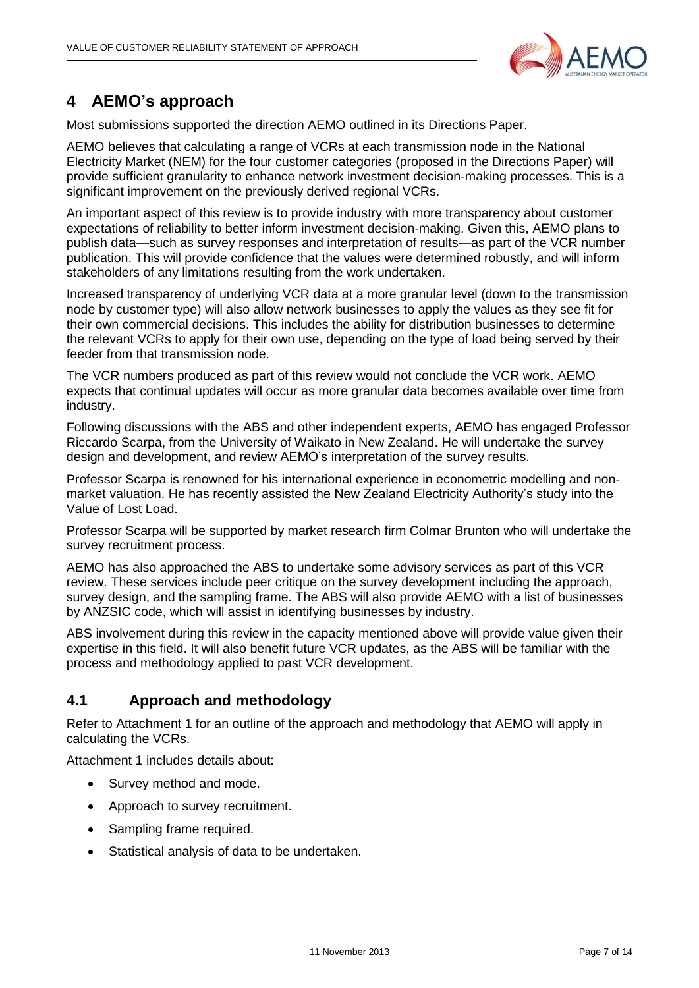

## <span id="page-6-0"></span>**4 AEMO's approach**

Most submissions supported the direction AEMO outlined in its Directions Paper.

AEMO believes that calculating a range of VCRs at each transmission node in the National Electricity Market (NEM) for the four customer categories (proposed in the Directions Paper) will provide sufficient granularity to enhance network investment decision-making processes. This is a significant improvement on the previously derived regional VCRs.

An important aspect of this review is to provide industry with more transparency about customer expectations of reliability to better inform investment decision-making. Given this, AEMO plans to publish data—such as survey responses and interpretation of results—as part of the VCR number publication. This will provide confidence that the values were determined robustly, and will inform stakeholders of any limitations resulting from the work undertaken.

Increased transparency of underlying VCR data at a more granular level (down to the transmission node by customer type) will also allow network businesses to apply the values as they see fit for their own commercial decisions. This includes the ability for distribution businesses to determine the relevant VCRs to apply for their own use, depending on the type of load being served by their feeder from that transmission node.

The VCR numbers produced as part of this review would not conclude the VCR work. AEMO expects that continual updates will occur as more granular data becomes available over time from industry.

Following discussions with the ABS and other independent experts, AEMO has engaged Professor Riccardo Scarpa, from the University of Waikato in New Zealand. He will undertake the survey design and development, and review AEMO's interpretation of the survey results.

Professor Scarpa is renowned for his international experience in econometric modelling and nonmarket valuation. He has recently assisted the New Zealand Electricity Authority's study into the Value of Lost Load.

Professor Scarpa will be supported by market research firm Colmar Brunton who will undertake the survey recruitment process.

AEMO has also approached the ABS to undertake some advisory services as part of this VCR review. These services include peer critique on the survey development including the approach, survey design, and the sampling frame. The ABS will also provide AEMO with a list of businesses by ANZSIC code, which will assist in identifying businesses by industry.

ABS involvement during this review in the capacity mentioned above will provide value given their expertise in this field. It will also benefit future VCR updates, as the ABS will be familiar with the process and methodology applied to past VCR development.

#### <span id="page-6-1"></span>**4.1 Approach and methodology**

Refer to Attachment 1 for an outline of the approach and methodology that AEMO will apply in calculating the VCRs.

Attachment 1 includes details about:

- Survey method and mode.
- Approach to survey recruitment.
- Sampling frame required.
- Statistical analysis of data to be undertaken.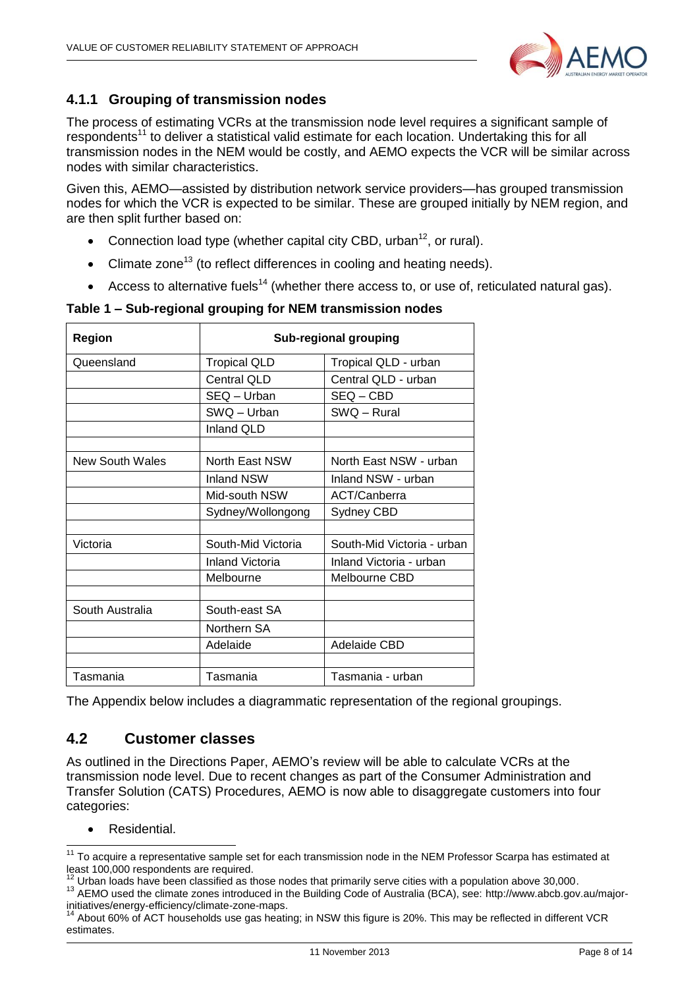

#### <span id="page-7-0"></span>**4.1.1 Grouping of transmission nodes**

The process of estimating VCRs at the transmission node level requires a significant sample of respondents<sup>11</sup> to deliver a statistical valid estimate for each location. Undertaking this for all transmission nodes in the NEM would be costly, and AEMO expects the VCR will be similar across nodes with similar characteristics.

Given this, AEMO—assisted by distribution network service providers—has grouped transmission nodes for which the VCR is expected to be similar. These are grouped initially by NEM region, and are then split further based on:

- Connection load type (whether capital city CBD, urban<sup>12</sup>, or rural).
- Climate zone<sup>13</sup> (to reflect differences in cooling and heating needs).
- Access to alternative fuels<sup>14</sup> (whether there access to, or use of, reticulated natural gas).

| Region          | <b>Sub-regional grouping</b> |                            |  |
|-----------------|------------------------------|----------------------------|--|
| Queensland      | <b>Tropical QLD</b>          | Tropical QLD - urban       |  |
|                 | <b>Central QLD</b>           | Central QLD - urban        |  |
|                 | SEQ - Urban                  | $SEQ - CBD$                |  |
|                 | SWQ - Urban                  | SWQ - Rural                |  |
|                 | <b>Inland QLD</b>            |                            |  |
|                 |                              |                            |  |
| New South Wales | North East NSW               | North East NSW - urban     |  |
|                 | <b>Inland NSW</b>            | Inland NSW - urban         |  |
|                 | Mid-south NSW                | ACT/Canberra               |  |
|                 | Sydney/Wollongong            | Sydney CBD                 |  |
|                 |                              |                            |  |
| Victoria        | South-Mid Victoria           | South-Mid Victoria - urban |  |
|                 | Inland Victoria              | Inland Victoria - urban    |  |
|                 | Melbourne                    | Melbourne CBD              |  |
|                 |                              |                            |  |
| South Australia | South-east SA                |                            |  |
|                 | Northern SA                  |                            |  |
|                 | Adelaide                     | Adelaide CBD               |  |
|                 |                              |                            |  |
| Tasmania        | Tasmania                     | Tasmania - urban           |  |

#### **Table 1 – Sub-regional grouping for NEM transmission nodes**

The Appendix below includes a diagrammatic representation of the regional groupings.

#### <span id="page-7-1"></span>**4.2 Customer classes**

As outlined in the Directions Paper, AEMO's review will be able to calculate VCRs at the transmission node level. Due to recent changes as part of the Consumer Administration and Transfer Solution (CATS) Procedures, AEMO is now able to disaggregate customers into four categories:

• Residential.

  $11$  To acquire a representative sample set for each transmission node in the NEM Professor Scarpa has estimated at least 100,000 respondents are required.

 $12$  Urban loads have been classified as those nodes that primarily serve cities with a population above 30,000.

<sup>13</sup> AEMO used the climate zones introduced in the Building Code of Australia (BCA), see: [http://www.abcb.gov.au/major](http://www.abcb.gov.au/major-initiatives/energy-efficiency/climate-zone-maps)[initiatives/energy-efficiency/climate-zone-maps.](http://www.abcb.gov.au/major-initiatives/energy-efficiency/climate-zone-maps)

<sup>14</sup> About 60% of ACT households use gas heating; in NSW this figure is 20%. This may be reflected in different VCR estimates.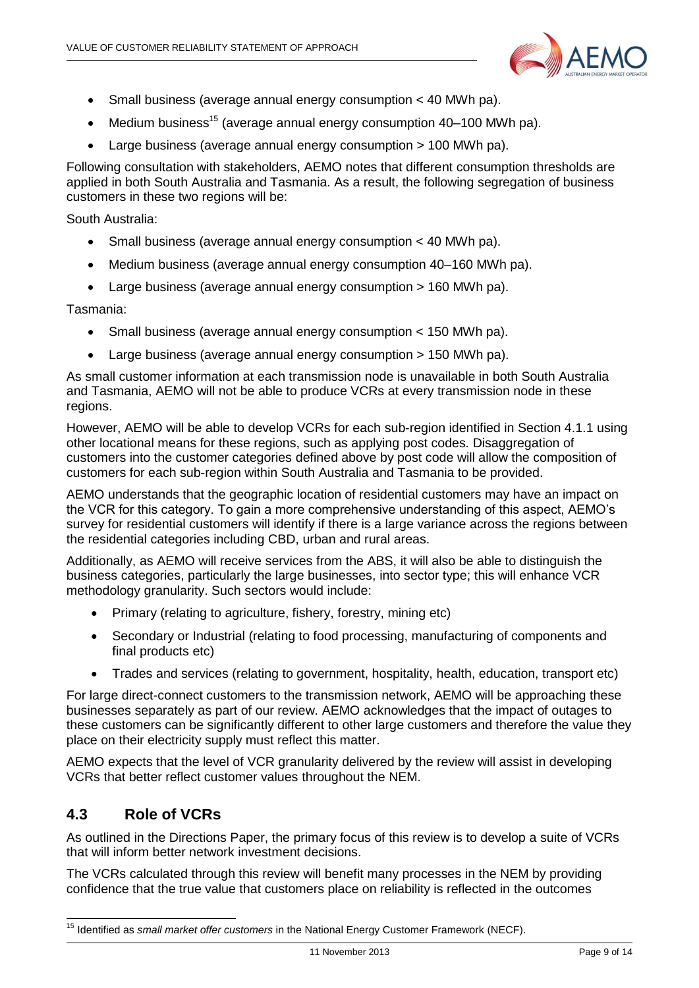

- Small business (average annual energy consumption < 40 MWh pa).
- $\bullet$  Medium business<sup>15</sup> (average annual energy consumption 40–100 MWh pa).
- Large business (average annual energy consumption > 100 MWh pa).

Following consultation with stakeholders, AEMO notes that different consumption thresholds are applied in both South Australia and Tasmania. As a result, the following segregation of business customers in these two regions will be:

South Australia:

- Small business (average annual energy consumption < 40 MWh pa).
- Medium business (average annual energy consumption 40–160 MWh pa).
- Large business (average annual energy consumption > 160 MWh pa).

Tasmania:

- Small business (average annual energy consumption < 150 MWh pa).
- Large business (average annual energy consumption > 150 MWh pa).

As small customer information at each transmission node is unavailable in both South Australia and Tasmania, AEMO will not be able to produce VCRs at every transmission node in these regions.

However, AEMO will be able to develop VCRs for each sub-region identified in Section 4.1.1 using other locational means for these regions, such as applying post codes. Disaggregation of customers into the customer categories defined above by post code will allow the composition of customers for each sub-region within South Australia and Tasmania to be provided.

AEMO understands that the geographic location of residential customers may have an impact on the VCR for this category. To gain a more comprehensive understanding of this aspect, AEMO's survey for residential customers will identify if there is a large variance across the regions between the residential categories including CBD, urban and rural areas.

Additionally, as AEMO will receive services from the ABS, it will also be able to distinguish the business categories, particularly the large businesses, into sector type; this will enhance VCR methodology granularity. Such sectors would include:

- Primary (relating to agriculture, fishery, forestry, mining etc)
- Secondary or Industrial (relating to food processing, manufacturing of components and final products etc)
- Trades and services (relating to government, hospitality, health, education, transport etc)

For large direct-connect customers to the transmission network, AEMO will be approaching these businesses separately as part of our review. AEMO acknowledges that the impact of outages to these customers can be significantly different to other large customers and therefore the value they place on their electricity supply must reflect this matter.

AEMO expects that the level of VCR granularity delivered by the review will assist in developing VCRs that better reflect customer values throughout the NEM.

#### <span id="page-8-0"></span>**4.3 Role of VCRs**

-

As outlined in the Directions Paper, the primary focus of this review is to develop a suite of VCRs that will inform better network investment decisions.

The VCRs calculated through this review will benefit many processes in the NEM by providing confidence that the true value that customers place on reliability is reflected in the outcomes

<sup>15</sup> Identified as *small market offer customers* in the National Energy Customer Framework (NECF).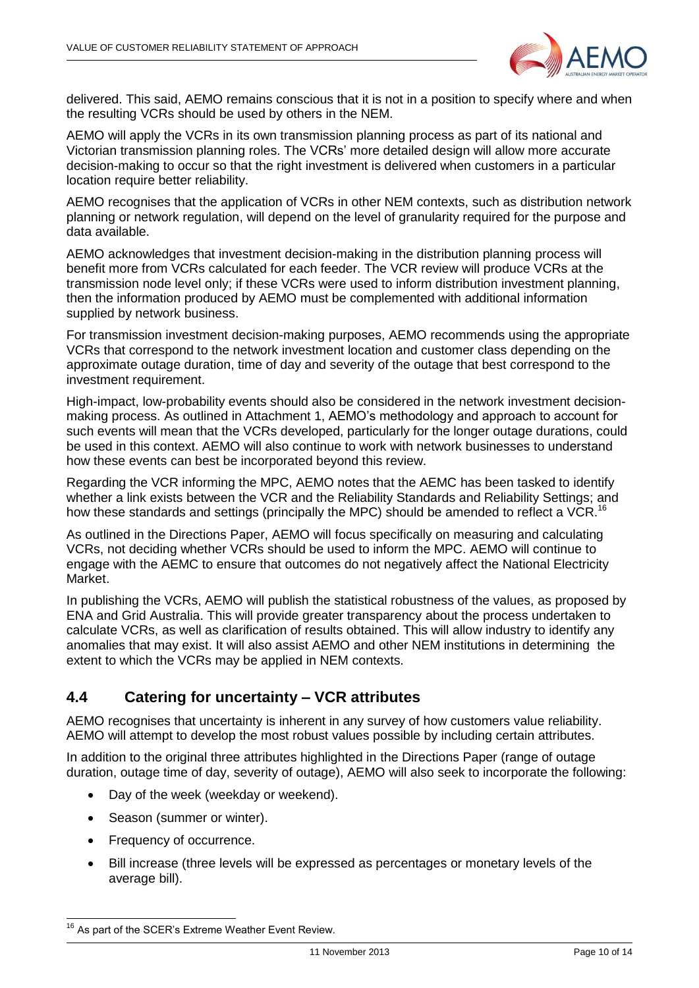

delivered. This said, AEMO remains conscious that it is not in a position to specify where and when the resulting VCRs should be used by others in the NEM.

AEMO will apply the VCRs in its own transmission planning process as part of its national and Victorian transmission planning roles. The VCRs' more detailed design will allow more accurate decision-making to occur so that the right investment is delivered when customers in a particular location require better reliability.

AEMO recognises that the application of VCRs in other NEM contexts, such as distribution network planning or network regulation, will depend on the level of granularity required for the purpose and data available.

AEMO acknowledges that investment decision-making in the distribution planning process will benefit more from VCRs calculated for each feeder. The VCR review will produce VCRs at the transmission node level only; if these VCRs were used to inform distribution investment planning, then the information produced by AEMO must be complemented with additional information supplied by network business.

For transmission investment decision-making purposes, AEMO recommends using the appropriate VCRs that correspond to the network investment location and customer class depending on the approximate outage duration, time of day and severity of the outage that best correspond to the investment requirement.

High-impact, low-probability events should also be considered in the network investment decisionmaking process. As outlined in Attachment 1, AEMO's methodology and approach to account for such events will mean that the VCRs developed, particularly for the longer outage durations, could be used in this context. AEMO will also continue to work with network businesses to understand how these events can best be incorporated beyond this review.

Regarding the VCR informing the MPC, AEMO notes that the AEMC has been tasked to identify whether a link exists between the VCR and the Reliability Standards and Reliability Settings; and how these standards and settings (principally the MPC) should be amended to reflect a VCR.<sup>16</sup>

As outlined in the Directions Paper, AEMO will focus specifically on measuring and calculating VCRs, not deciding whether VCRs should be used to inform the MPC. AEMO will continue to engage with the AEMC to ensure that outcomes do not negatively affect the National Electricity Market.

In publishing the VCRs, AEMO will publish the statistical robustness of the values, as proposed by ENA and Grid Australia. This will provide greater transparency about the process undertaken to calculate VCRs, as well as clarification of results obtained. This will allow industry to identify any anomalies that may exist. It will also assist AEMO and other NEM institutions in determining the extent to which the VCRs may be applied in NEM contexts.

#### <span id="page-9-0"></span>**4.4 Catering for uncertainty – VCR attributes**

AEMO recognises that uncertainty is inherent in any survey of how customers value reliability. AEMO will attempt to develop the most robust values possible by including certain attributes.

In addition to the original three attributes highlighted in the Directions Paper (range of outage duration, outage time of day, severity of outage), AEMO will also seek to incorporate the following:

- Day of the week (weekday or weekend).
- Season (summer or winter).
- Frequency of occurrence.
- Bill increase (three levels will be expressed as percentages or monetary levels of the average bill).

<sup>-</sup><sup>16</sup> As part of the SCER's Extreme Weather Event Review.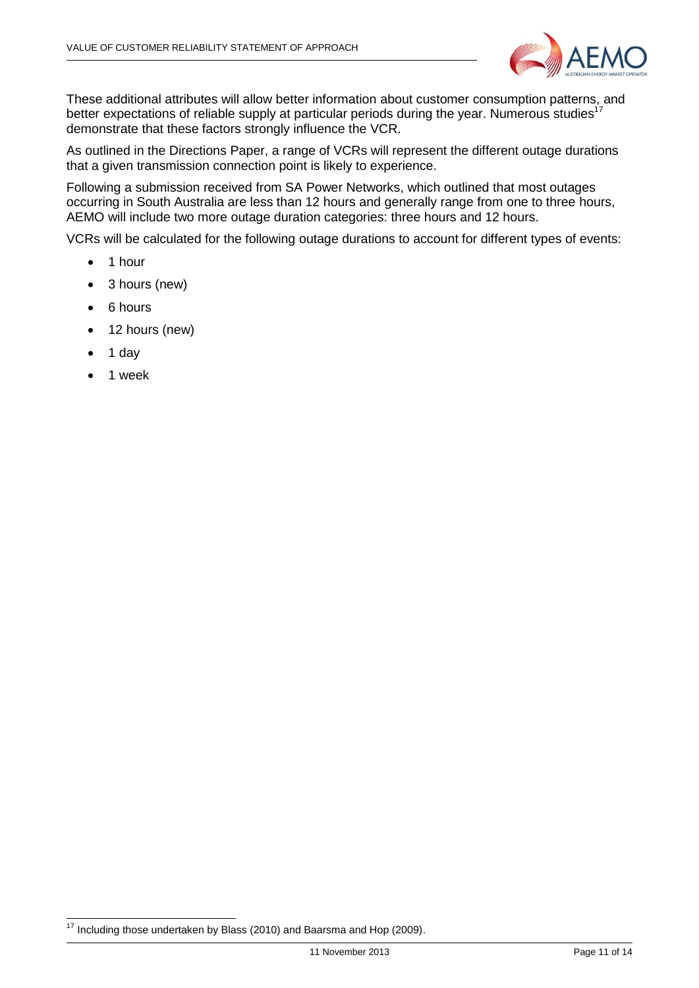

These additional attributes will allow better information about customer consumption patterns, and better expectations of reliable supply at particular periods during the year. Numerous studies<sup>17</sup> demonstrate that these factors strongly influence the VCR.

As outlined in the Directions Paper, a range of VCRs will represent the different outage durations that a given transmission connection point is likely to experience.

Following a submission received from SA Power Networks, which outlined that most outages occurring in South Australia are less than 12 hours and generally range from one to three hours, AEMO will include two more outage duration categories: three hours and 12 hours.

VCRs will be calculated for the following outage durations to account for different types of events:

- $\bullet$  1 hour
- 3 hours (new)
- 6 hours
- 12 hours (new)
- $\bullet$  1 day
- 1 week

<sup>-</sup> $17$  Including those undertaken by Blass (2010) and Baarsma and Hop (2009).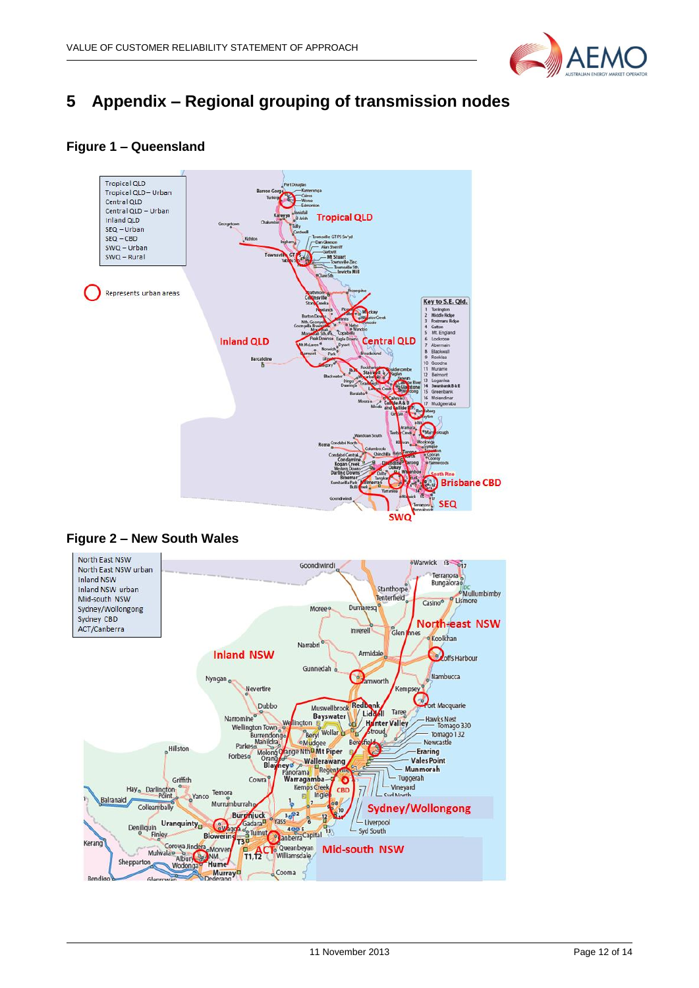

## <span id="page-11-0"></span>**5 Appendix – Regional grouping of transmission nodes**

#### **Figure 1 – Queensland**





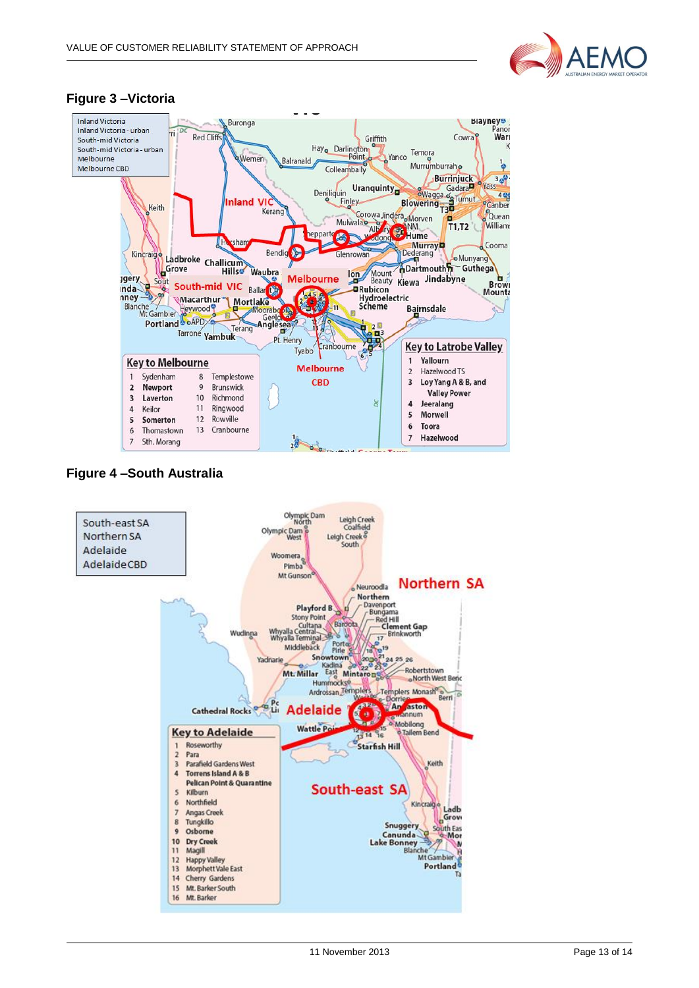

#### **Figure 3 –Victoria**



#### **Figure 4 –South Australia**